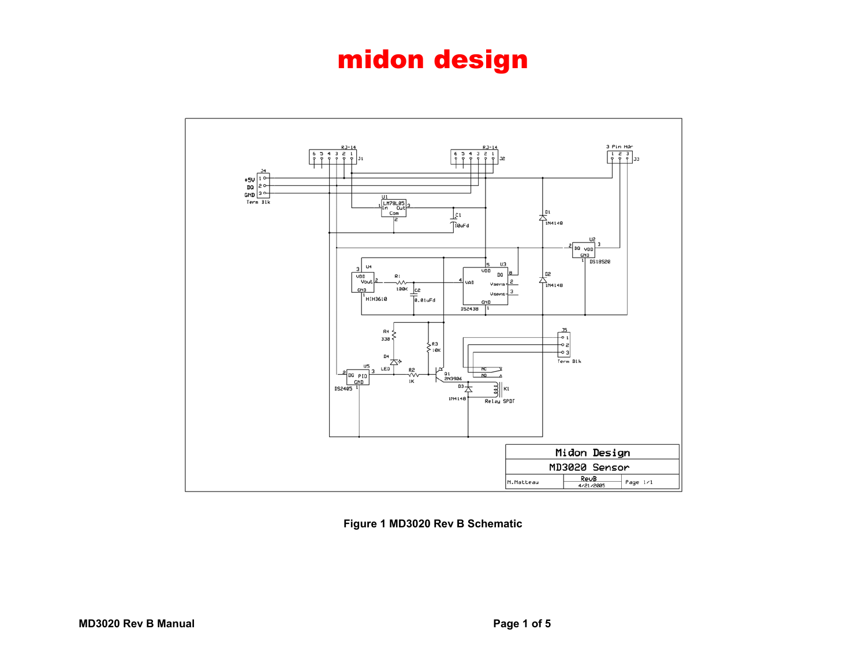

**Figure 1 MD3020 Rev B Schematic**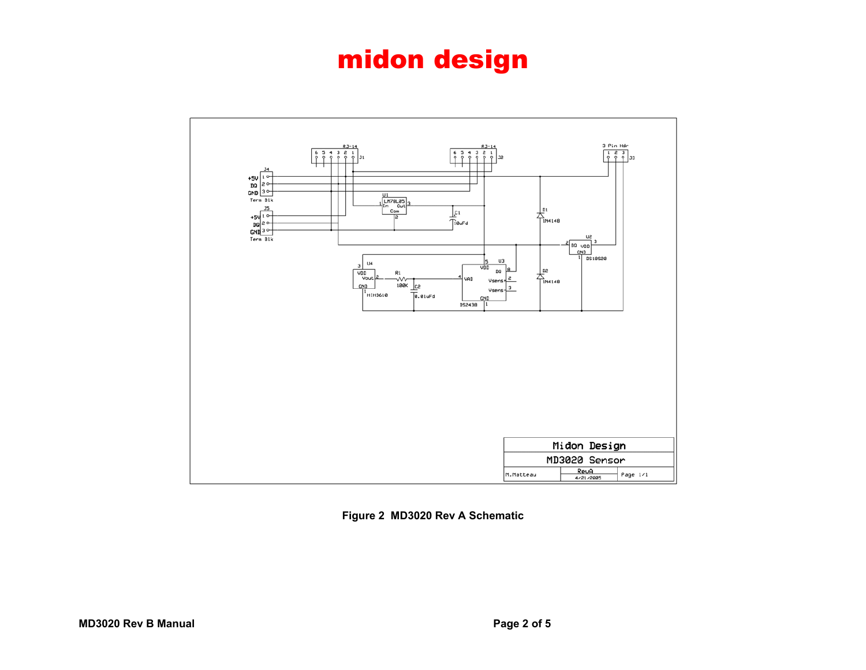

**Figure 2 MD3020 Rev A Schematic**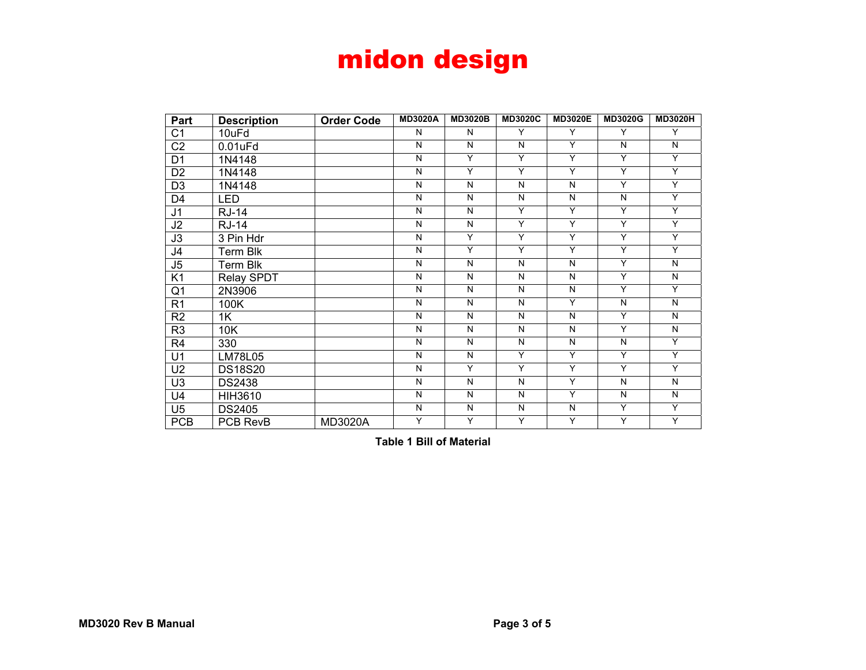| Part           | <b>Description</b> | <b>Order Code</b> | <b>MD3020A</b> | <b>MD3020B</b> | <b>MD3020C</b> | <b>MD3020E</b> | <b>MD3020G</b> | <b>MD3020H</b> |
|----------------|--------------------|-------------------|----------------|----------------|----------------|----------------|----------------|----------------|
| C <sub>1</sub> | 10uFd              |                   | N              | N              | Y              | Y              | Y              | Y              |
| C <sub>2</sub> | $0.01$ u $F$ d     |                   | N              | N              | N              | Y              | N              | N              |
| D <sub>1</sub> | 1N4148             |                   | N              | Y              | Y              | Y              | Y              | Y              |
| D <sub>2</sub> | 1N4148             |                   | N              | Y              | Y              | Y              | Y              | Y              |
| D <sub>3</sub> | 1N4148             |                   | N              | N              | N              | N              | Y              | Y              |
| D <sub>4</sub> | <b>LED</b>         |                   | N              | N              | N              | N              | N              | Y              |
| J <sub>1</sub> | <b>RJ-14</b>       |                   | N              | N              | Y              | Y              | Y              | Y              |
| J2             | <b>RJ-14</b>       |                   | N              | N              | Y              | Y              | Y              | Y              |
| J3             | 3 Pin Hdr          |                   | N              | Y              | Y              | Y              | Υ              | Υ              |
| J <sub>4</sub> | <b>Term Blk</b>    |                   | N              | Y              | Y              | Y              | Y              | Y              |
| J5             | Term Blk           |                   | N              | N              | N              | N              | Y              | N              |
| K <sub>1</sub> | Relay SPDT         |                   | N              | N              | N              | N              | Y              | N              |
| Q <sub>1</sub> | 2N3906             |                   | N              | N              | N              | N              | Y              | Y              |
| R <sub>1</sub> | 100K               |                   | N              | N              | N              | Y              | N              | N              |
| R <sub>2</sub> | 1K                 |                   | N              | N              | N              | N              | Y              | N              |
| R <sub>3</sub> | 10K                |                   | N              | N              | N              | N              | Y              | N              |
| R <sub>4</sub> | 330                |                   | N              | N              | N              | N              | N              | Y              |
| U1             | <b>LM78L05</b>     |                   | N              | N              | Y              | Y              | Y              | Y              |
| U <sub>2</sub> | <b>DS18S20</b>     |                   | N              | Y              | Y              | Y              | Y              | Y              |
| U <sub>3</sub> | <b>DS2438</b>      |                   | N              | N              | $\mathsf{N}$   | Y              | $\mathsf{N}$   | N              |
| U <sub>4</sub> | <b>HIH3610</b>     |                   | N              | $\mathsf{N}$   | N              | Y              | $\mathsf{N}$   | N              |
| U <sub>5</sub> | <b>DS2405</b>      |                   | N              | N              | $\mathsf{N}$   | N              | Y              | Y              |
| <b>PCB</b>     | PCB RevB           | MD3020A           | Y              | Y              | Y              | Y              | Y              | Υ              |

**Table 1 Bill of Material**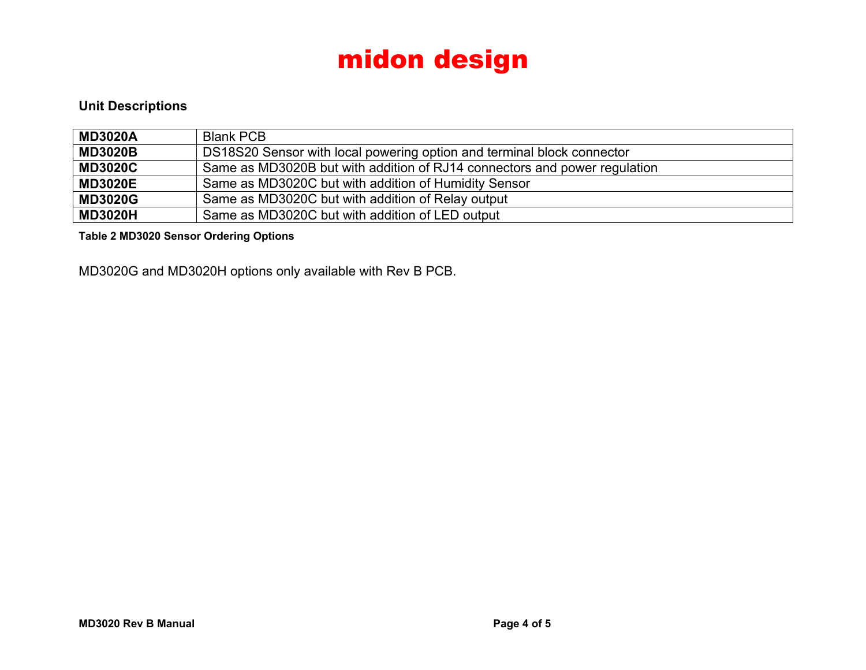#### **Unit Descriptions**

| <b>MD3020A</b> | <b>Blank PCB</b>                                                          |
|----------------|---------------------------------------------------------------------------|
| <b>MD3020B</b> | DS18S20 Sensor with local powering option and terminal block connector    |
| <b>MD3020C</b> | Same as MD3020B but with addition of RJ14 connectors and power regulation |
| <b>MD3020E</b> | Same as MD3020C but with addition of Humidity Sensor                      |
| <b>MD3020G</b> | Same as MD3020C but with addition of Relay output                         |
| <b>MD3020H</b> | Same as MD3020C but with addition of LED output                           |

**Table 2 MD3020 Sensor Ordering Options** 

MD3020G and MD3020H options only available with Rev B PCB.